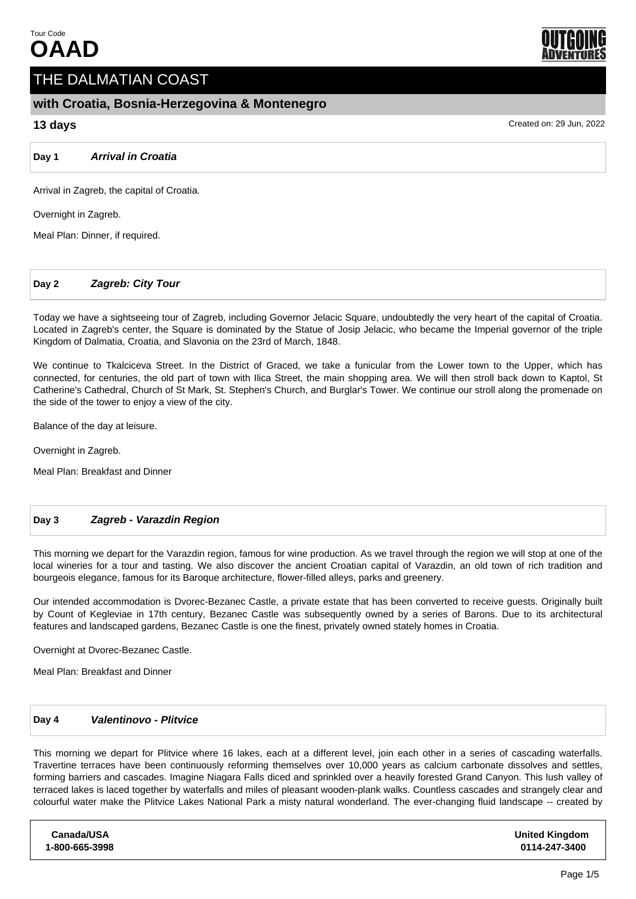

# THE DALMATIAN COAST

# **with Croatia, Bosnia-Herzegovina & Montenegro**

# **13 days** Created on: 29 Jun, 2022

**Day 1 Arrival in Croatia**

Arrival in Zagreb, the capital of Croatia.

Overnight in Zagreb.

Meal Plan: Dinner, if required.

## **Day 2 Zagreb: City Tour**

Today we have a sightseeing tour of Zagreb, including Governor Jelacic Square, undoubtedly the very heart of the capital of Croatia. Located in Zagreb's center, the Square is dominated by the Statue of Josip Jelacic, who became the Imperial governor of the triple Kingdom of Dalmatia, Croatia, and Slavonia on the 23rd of March, 1848.

We continue to Tkalciceva Street. In the District of Graced, we take a funicular from the Lower town to the Upper, which has connected, for centuries, the old part of town with Ilica Street, the main shopping area. We will then stroll back down to Kaptol, St Catherine's Cathedral, Church of St Mark, St. Stephen's Church, and Burglar's Tower. We continue our stroll along the promenade on the side of the tower to enjoy a view of the city.

Balance of the day at leisure.

Overnight in Zagreb.

Meal Plan: Breakfast and Dinner

### **Day 3 Zagreb - Varazdin Region**

This morning we depart for the Varazdin region, famous for wine production. As we travel through the region we will stop at one of the local wineries for a tour and tasting. We also discover the ancient Croatian capital of Varazdin, an old town of rich tradition and bourgeois elegance, famous for its Baroque architecture, flower-filled alleys, parks and greenery.

Our intended accommodation is Dvorec-Bezanec Castle, a private estate that has been converted to receive guests. Originally built by Count of Kegleviae in 17th century, Bezanec Castle was subsequently owned by a series of Barons. Due to its architectural features and landscaped gardens, Bezanec Castle is one the finest, privately owned stately homes in Croatia.

Overnight at Dvorec-Bezanec Castle.

Meal Plan: Breakfast and Dinner

## **Day 4 Valentinovo - Plitvice**

This morning we depart for Plitvice where 16 lakes, each at a different level, join each other in a series of cascading waterfalls. Travertine terraces have been continuously reforming themselves over 10,000 years as calcium carbonate dissolves and settles, forming barriers and cascades. Imagine Niagara Falls diced and sprinkled over a heavily forested Grand Canyon. This lush valley of terraced lakes is laced together by waterfalls and miles of pleasant wooden-plank walks. Countless cascades and strangely clear and colourful water make the Plitvice Lakes National Park a misty natural wonderland. The ever-changing fluid landscape -- created by

**Canada/USA 1-800-665-3998** **United Kingdom 0114-247-3400**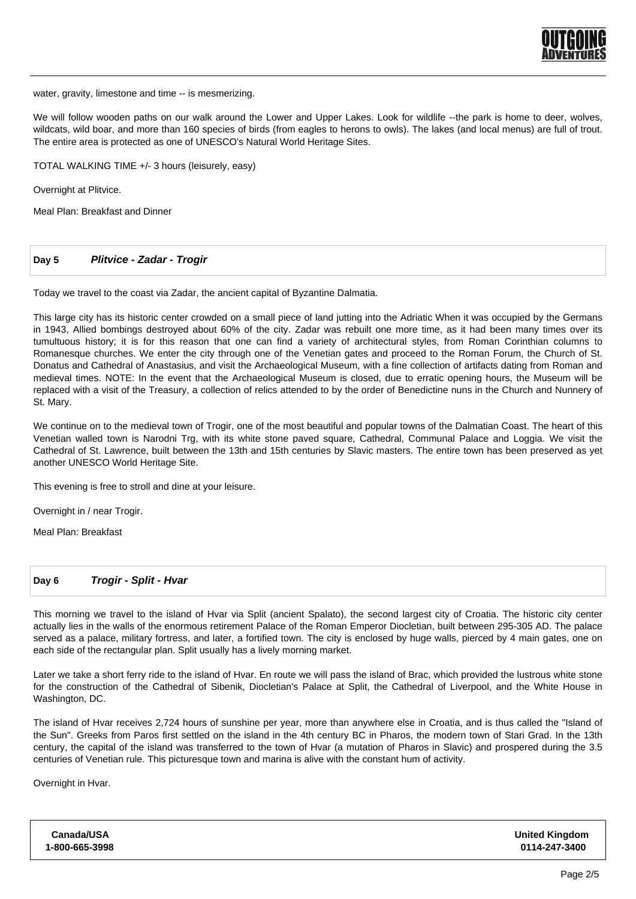

water, gravity, limestone and time -- is mesmerizing.

We will follow wooden paths on our walk around the Lower and Upper Lakes. Look for wildlife --the park is home to deer, wolves, wildcats, wild boar, and more than 160 species of birds (from eagles to herons to owls). The lakes (and local menus) are full of trout. The entire area is protected as one of UNESCO's Natural World Heritage Sites.

TOTAL WALKING TIME +/- 3 hours (leisurely, easy)

Overnight at Plitvice.

Meal Plan: Breakfast and Dinner

#### **Day 5 Plitvice - Zadar - Trogir**

Today we travel to the coast via Zadar, the ancient capital of Byzantine Dalmatia.

This large city has its historic center crowded on a small piece of land jutting into the Adriatic When it was occupied by the Germans in 1943, Allied bombings destroyed about 60% of the city. Zadar was rebuilt one more time, as it had been many times over its tumultuous history; it is for this reason that one can find a variety of architectural styles, from Roman Corinthian columns to Romanesque churches. We enter the city through one of the Venetian gates and proceed to the Roman Forum, the Church of St. Donatus and Cathedral of Anastasius, and visit the Archaeological Museum, with a fine collection of artifacts dating from Roman and medieval times. NOTE: In the event that the Archaeological Museum is closed, due to erratic opening hours, the Museum will be replaced with a visit of the Treasury, a collection of relics attended to by the order of Benedictine nuns in the Church and Nunnery of St. Mary.

We continue on to the medieval town of Trogir, one of the most beautiful and popular towns of the Dalmatian Coast. The heart of this Venetian walled town is Narodni Trg, with its white stone paved square, Cathedral, Communal Palace and Loggia. We visit the Cathedral of St. Lawrence, built between the 13th and 15th centuries by Slavic masters. The entire town has been preserved as yet another UNESCO World Heritage Site.

This evening is free to stroll and dine at your leisure.

Overnight in / near Trogir.

Meal Plan: Breakfast

#### **Day 6 Trogir - Split - Hvar**

This morning we travel to the island of Hvar via Split (ancient Spalato), the second largest city of Croatia. The historic city center actually lies in the walls of the enormous retirement Palace of the Roman Emperor Diocletian, built between 295-305 AD. The palace served as a palace, military fortress, and later, a fortified town. The city is enclosed by huge walls, pierced by 4 main gates, one on each side of the rectangular plan. Split usually has a lively morning market.

Later we take a short ferry ride to the island of Hvar. En route we will pass the island of Brac, which provided the lustrous white stone for the construction of the Cathedral of Sibenik, Diocletian's Palace at Split, the Cathedral of Liverpool, and the White House in Washington, DC.

The island of Hvar receives 2,724 hours of sunshine per year, more than anywhere else in Croatia, and is thus called the "Island of the Sun". Greeks from Paros first settled on the island in the 4th century BC in Pharos, the modern town of Stari Grad. In the 13th century, the capital of the island was transferred to the town of Hvar (a mutation of Pharos in Slavic) and prospered during the 3.5 centuries of Venetian rule. This picturesque town and marina is alive with the constant hum of activity.

Overnight in Hvar.

| Canada/USA     | <b>United Kingdom</b> |
|----------------|-----------------------|
| 1-800-665-3998 | 0114-247-3400         |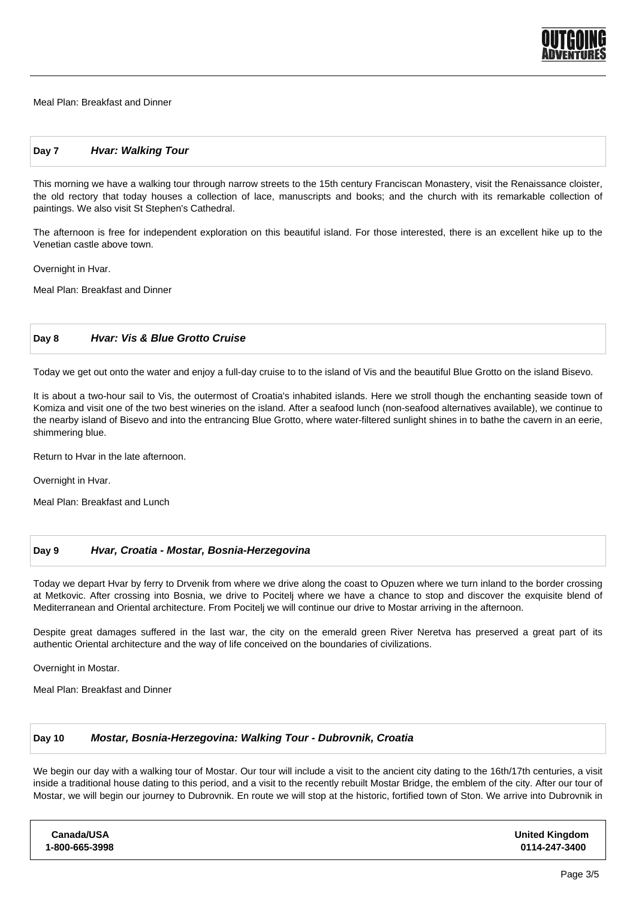

Meal Plan: Breakfast and Dinner

### **Day 7 Hvar: Walking Tour**

This morning we have a walking tour through narrow streets to the 15th century Franciscan Monastery, visit the Renaissance cloister, the old rectory that today houses a collection of lace, manuscripts and books; and the church with its remarkable collection of paintings. We also visit St Stephen's Cathedral.

The afternoon is free for independent exploration on this beautiful island. For those interested, there is an excellent hike up to the Venetian castle above town.

Overnight in Hvar.

Meal Plan: Breakfast and Dinner

#### **Day 8 Hvar: Vis & Blue Grotto Cruise**

Today we get out onto the water and enjoy a full-day cruise to to the island of Vis and the beautiful Blue Grotto on the island Bisevo.

It is about a two-hour sail to Vis, the outermost of Croatia's inhabited islands. Here we stroll though the enchanting seaside town of Komiza and visit one of the two best wineries on the island. After a seafood lunch (non-seafood alternatives available), we continue to the nearby island of Bisevo and into the entrancing Blue Grotto, where water-filtered sunlight shines in to bathe the cavern in an eerie, shimmering blue.

Return to Hvar in the late afternoon.

Overnight in Hvar.

Meal Plan: Breakfast and Lunch

#### **Day 9 Hvar, Croatia - Mostar, Bosnia-Herzegovina**

Today we depart Hvar by ferry to Drvenik from where we drive along the coast to Opuzen where we turn inland to the border crossing at Metkovic. After crossing into Bosnia, we drive to Pocitelj where we have a chance to stop and discover the exquisite blend of Mediterranean and Oriental architecture. From Pocitelj we will continue our drive to Mostar arriving in the afternoon.

Despite great damages suffered in the last war, the city on the emerald green River Neretva has preserved a great part of its authentic Oriental architecture and the way of life conceived on the boundaries of civilizations.

Overnight in Mostar.

Meal Plan: Breakfast and Dinner

#### **Day 10 Mostar, Bosnia-Herzegovina: Walking Tour - Dubrovnik, Croatia**

We begin our day with a walking tour of Mostar. Our tour will include a visit to the ancient city dating to the 16th/17th centuries, a visit inside a traditional house dating to this period, and a visit to the recently rebuilt Mostar Bridge, the emblem of the city. After our tour of Mostar, we will begin our journey to Dubrovnik. En route we will stop at the historic, fortified town of Ston. We arrive into Dubrovnik in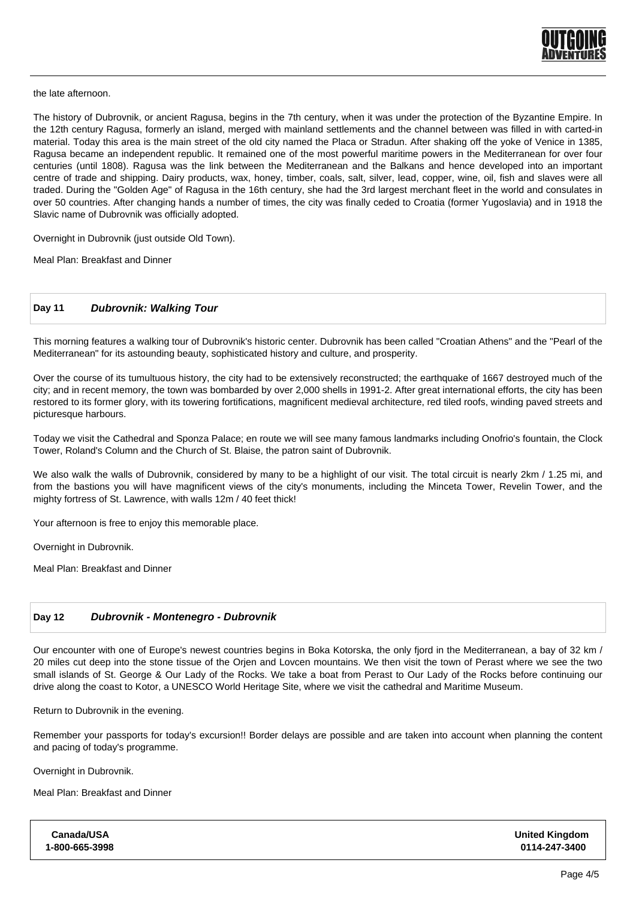

the late afternoon.

The history of Dubrovnik, or ancient Ragusa, begins in the 7th century, when it was under the protection of the Byzantine Empire. In the 12th century Ragusa, formerly an island, merged with mainland settlements and the channel between was filled in with carted-in material. Today this area is the main street of the old city named the Placa or Stradun. After shaking off the yoke of Venice in 1385, Ragusa became an independent republic. It remained one of the most powerful maritime powers in the Mediterranean for over four centuries (until 1808). Ragusa was the link between the Mediterranean and the Balkans and hence developed into an important centre of trade and shipping. Dairy products, wax, honey, timber, coals, salt, silver, lead, copper, wine, oil, fish and slaves were all traded. During the "Golden Age" of Ragusa in the 16th century, she had the 3rd largest merchant fleet in the world and consulates in over 50 countries. After changing hands a number of times, the city was finally ceded to Croatia (former Yugoslavia) and in 1918 the Slavic name of Dubrovnik was officially adopted.

Overnight in Dubrovnik (just outside Old Town).

Meal Plan: Breakfast and Dinner

### **Day 11 Dubrovnik: Walking Tour**

This morning features a walking tour of Dubrovnik's historic center. Dubrovnik has been called "Croatian Athens" and the "Pearl of the Mediterranean" for its astounding beauty, sophisticated history and culture, and prosperity.

Over the course of its tumultuous history, the city had to be extensively reconstructed; the earthquake of 1667 destroyed much of the city; and in recent memory, the town was bombarded by over 2,000 shells in 1991-2. After great international efforts, the city has been restored to its former glory, with its towering fortifications, magnificent medieval architecture, red tiled roofs, winding paved streets and picturesque harbours.

Today we visit the Cathedral and Sponza Palace; en route we will see many famous landmarks including Onofrio's fountain, the Clock Tower, Roland's Column and the Church of St. Blaise, the patron saint of Dubrovnik.

We also walk the walls of Dubrovnik, considered by many to be a highlight of our visit. The total circuit is nearly 2km / 1.25 mi, and from the bastions you will have magnificent views of the city's monuments, including the Minceta Tower, Revelin Tower, and the mighty fortress of St. Lawrence, with walls 12m / 40 feet thick!

Your afternoon is free to enjoy this memorable place.

Overnight in Dubrovnik.

Meal Plan: Breakfast and Dinner

### **Day 12 Dubrovnik - Montenegro - Dubrovnik**

Our encounter with one of Europe's newest countries begins in Boka Kotorska, the only fjord in the Mediterranean, a bay of 32 km / 20 miles cut deep into the stone tissue of the Orjen and Lovcen mountains. We then visit the town of Perast where we see the two small islands of St. George & Our Lady of the Rocks. We take a boat from Perast to Our Lady of the Rocks before continuing our drive along the coast to Kotor, a UNESCO World Heritage Site, where we visit the cathedral and Maritime Museum.

Return to Dubrovnik in the evening.

Remember your passports for today's excursion!! Border delays are possible and are taken into account when planning the content and pacing of today's programme.

Overnight in Dubrovnik.

Meal Plan: Breakfast and Dinner

| <b>United Kingdom</b><br>0114-247-3400 |
|----------------------------------------|
|                                        |